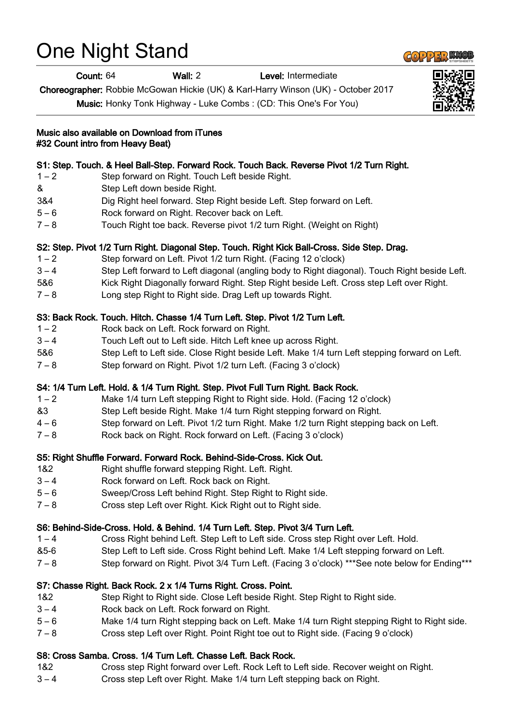# One Night Stand

Count: 64 Wall: 2 Level: Intermediate

Choreographer: Robbie McGowan Hickie (UK) & Karl-Harry Winson (UK) - October 2017

Music: Honky Tonk Highway - Luke Combs : (CD: This One's For You)

Music also available on Download from iTunes #32 Count intro from Heavy Beat)

## S1: Step. Touch. & Heel Ball-Step. Forward Rock. Touch Back. Reverse Pivot 1/2 Turn Right.

- 1 2 Step forward on Right. Touch Left beside Right.
- & Step Left down beside Right.
- 3&4 Dig Right heel forward. Step Right beside Left. Step forward on Left.
- 5 6 Rock forward on Right. Recover back on Left.
- 7 8 Touch Right toe back. Reverse pivot 1/2 turn Right. (Weight on Right)

## S2: Step. Pivot 1/2 Turn Right. Diagonal Step. Touch. Right Kick Ball-Cross. Side Step. Drag.

- 1 2 Step forward on Left. Pivot 1/2 turn Right. (Facing 12 o'clock)
- 3 4 Step Left forward to Left diagonal (angling body to Right diagonal). Touch Right beside Left.
- 5&6 Kick Right Diagonally forward Right. Step Right beside Left. Cross step Left over Right.
- 7 8 Long step Right to Right side. Drag Left up towards Right.

#### S3: Back Rock. Touch. Hitch. Chasse 1/4 Turn Left. Step. Pivot 1/2 Turn Left.

- 1 2 Rock back on Left. Rock forward on Right.
- 3 4 Touch Left out to Left side. Hitch Left knee up across Right.
- 5&6 Step Left to Left side. Close Right beside Left. Make 1/4 turn Left stepping forward on Left.
- 7 8 Step forward on Right. Pivot 1/2 turn Left. (Facing 3 o'clock)

#### S4: 1/4 Turn Left. Hold. & 1/4 Turn Right. Step. Pivot Full Turn Right. Back Rock.

- 1 2 Make 1/4 turn Left stepping Right to Right side. Hold. (Facing 12 o'clock)
- &3 Step Left beside Right. Make 1/4 turn Right stepping forward on Right.
- 4 6 Step forward on Left. Pivot 1/2 turn Right. Make 1/2 turn Right stepping back on Left.
- 7 8 Rock back on Right. Rock forward on Left. (Facing 3 o'clock)

#### S5: Right Shuffle Forward. Forward Rock. Behind-Side-Cross. Kick Out.

- 1&2 Right shuffle forward stepping Right. Left. Right.
- 3 4 Rock forward on Left. Rock back on Right.
- 5 6 Sweep/Cross Left behind Right. Step Right to Right side.
- 7 8 Cross step Left over Right. Kick Right out to Right side.

#### S6: Behind-Side-Cross. Hold. & Behind. 1/4 Turn Left. Step. Pivot 3/4 Turn Left.

- 1 4 Cross Right behind Left. Step Left to Left side. Cross step Right over Left. Hold.
- &5-6 Step Left to Left side. Cross Right behind Left. Make 1/4 Left stepping forward on Left.
- 7 8 Step forward on Right. Pivot 3/4 Turn Left. (Facing 3 o'clock) \*\*\*See note below for Ending\*\*\*

#### S7: Chasse Right. Back Rock. 2 x 1/4 Turns Right. Cross. Point.

- 1&2 Step Right to Right side. Close Left beside Right. Step Right to Right side.
- 3 4 Rock back on Left. Rock forward on Right.
- 5 6 Make 1/4 turn Right stepping back on Left. Make 1/4 turn Right stepping Right to Right side.
- 7 8 Cross step Left over Right. Point Right toe out to Right side. (Facing 9 o'clock)

#### S8: Cross Samba. Cross. 1/4 Turn Left. Chasse Left. Back Rock.

- 1&2 Cross step Right forward over Left. Rock Left to Left side. Recover weight on Right.
- 3 4 Cross step Left over Right. Make 1/4 turn Left stepping back on Right.